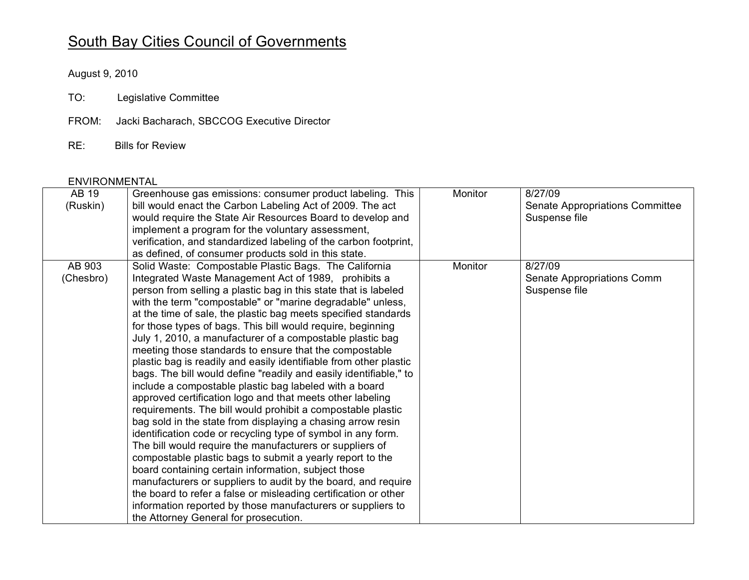## South Bay Cities Council of Governments

August 9, 2010

- TO: Legislative Committee
- FROM: Jacki Bacharach, SBCCOG Executive Director
- RE: **Bills for Review**

## **ENVIRONMENTAL**

| AB 19     | Greenhouse gas emissions: consumer product labeling. This         | Monitor        | 8/27/09                         |
|-----------|-------------------------------------------------------------------|----------------|---------------------------------|
| (Ruskin)  | bill would enact the Carbon Labeling Act of 2009. The act         |                | Senate Appropriations Committee |
|           | would require the State Air Resources Board to develop and        |                | Suspense file                   |
|           | implement a program for the voluntary assessment,                 |                |                                 |
|           | verification, and standardized labeling of the carbon footprint,  |                |                                 |
|           | as defined, of consumer products sold in this state.              |                |                                 |
| AB 903    | Solid Waste: Compostable Plastic Bags. The California             | <b>Monitor</b> | 8/27/09                         |
| (Chesbro) | Integrated Waste Management Act of 1989, prohibits a              |                | Senate Appropriations Comm      |
|           | person from selling a plastic bag in this state that is labeled   |                | Suspense file                   |
|           | with the term "compostable" or "marine degradable" unless,        |                |                                 |
|           | at the time of sale, the plastic bag meets specified standards    |                |                                 |
|           | for those types of bags. This bill would require, beginning       |                |                                 |
|           | July 1, 2010, a manufacturer of a compostable plastic bag         |                |                                 |
|           | meeting those standards to ensure that the compostable            |                |                                 |
|           | plastic bag is readily and easily identifiable from other plastic |                |                                 |
|           | bags. The bill would define "readily and easily identifiable," to |                |                                 |
|           | include a compostable plastic bag labeled with a board            |                |                                 |
|           | approved certification logo and that meets other labeling         |                |                                 |
|           | requirements. The bill would prohibit a compostable plastic       |                |                                 |
|           | bag sold in the state from displaying a chasing arrow resin       |                |                                 |
|           | identification code or recycling type of symbol in any form.      |                |                                 |
|           |                                                                   |                |                                 |
|           | The bill would require the manufacturers or suppliers of          |                |                                 |
|           | compostable plastic bags to submit a yearly report to the         |                |                                 |
|           | board containing certain information, subject those               |                |                                 |
|           | manufacturers or suppliers to audit by the board, and require     |                |                                 |
|           | the board to refer a false or misleading certification or other   |                |                                 |
|           | information reported by those manufacturers or suppliers to       |                |                                 |
|           | the Attorney General for prosecution.                             |                |                                 |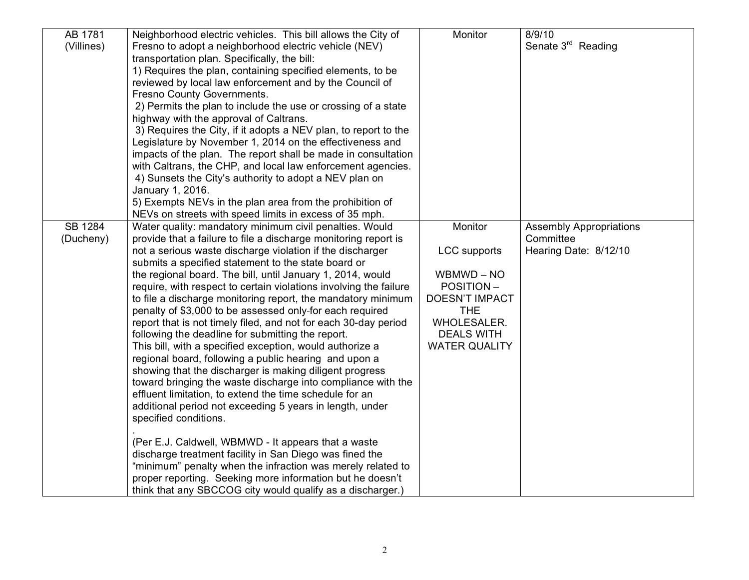| AB 1781    | Neighborhood electric vehicles. This bill allows the City of                                                                    | Monitor               | 8/9/10                         |
|------------|---------------------------------------------------------------------------------------------------------------------------------|-----------------------|--------------------------------|
| (Villines) | Fresno to adopt a neighborhood electric vehicle (NEV)                                                                           |                       | Senate 3 <sup>rd</sup> Reading |
|            | transportation plan. Specifically, the bill:                                                                                    |                       |                                |
|            | 1) Requires the plan, containing specified elements, to be                                                                      |                       |                                |
|            | reviewed by local law enforcement and by the Council of                                                                         |                       |                                |
|            | Fresno County Governments.                                                                                                      |                       |                                |
|            | 2) Permits the plan to include the use or crossing of a state                                                                   |                       |                                |
|            | highway with the approval of Caltrans.                                                                                          |                       |                                |
|            | 3) Requires the City, if it adopts a NEV plan, to report to the                                                                 |                       |                                |
|            | Legislature by November 1, 2014 on the effectiveness and                                                                        |                       |                                |
|            | impacts of the plan. The report shall be made in consultation                                                                   |                       |                                |
|            | with Caltrans, the CHP, and local law enforcement agencies.                                                                     |                       |                                |
|            | 4) Sunsets the City's authority to adopt a NEV plan on                                                                          |                       |                                |
|            | January 1, 2016.                                                                                                                |                       |                                |
|            | 5) Exempts NEVs in the plan area from the prohibition of                                                                        |                       |                                |
|            | NEVs on streets with speed limits in excess of 35 mph.                                                                          |                       |                                |
| SB 1284    | Water quality: mandatory minimum civil penalties. Would                                                                         | Monitor               | <b>Assembly Appropriations</b> |
| (Ducheny)  | provide that a failure to file a discharge monitoring report is                                                                 |                       | Committee                      |
|            | not a serious waste discharge violation if the discharger                                                                       | <b>LCC</b> supports   | Hearing Date: 8/12/10          |
|            | submits a specified statement to the state board or                                                                             | WBMWD - NO            |                                |
|            | the regional board. The bill, until January 1, 2014, would<br>require, with respect to certain violations involving the failure | <b>POSITION-</b>      |                                |
|            | to file a discharge monitoring report, the mandatory minimum                                                                    | <b>DOESN'T IMPACT</b> |                                |
|            | penalty of \$3,000 to be assessed only-for each required                                                                        | <b>THE</b>            |                                |
|            | report that is not timely filed, and not for each 30-day period                                                                 | <b>WHOLESALER.</b>    |                                |
|            | following the deadline for submitting the report.                                                                               | <b>DEALS WITH</b>     |                                |
|            | This bill, with a specified exception, would authorize a                                                                        | <b>WATER QUALITY</b>  |                                |
|            | regional board, following a public hearing and upon a                                                                           |                       |                                |
|            | showing that the discharger is making diligent progress                                                                         |                       |                                |
|            | toward bringing the waste discharge into compliance with the                                                                    |                       |                                |
|            | effluent limitation, to extend the time schedule for an                                                                         |                       |                                |
|            | additional period not exceeding 5 years in length, under                                                                        |                       |                                |
|            | specified conditions.                                                                                                           |                       |                                |
|            |                                                                                                                                 |                       |                                |
|            | (Per E.J. Caldwell, WBMWD - It appears that a waste                                                                             |                       |                                |
|            | discharge treatment facility in San Diego was fined the                                                                         |                       |                                |
|            | "minimum" penalty when the infraction was merely related to                                                                     |                       |                                |
|            | proper reporting. Seeking more information but he doesn't                                                                       |                       |                                |
|            | think that any SBCCOG city would qualify as a discharger.)                                                                      |                       |                                |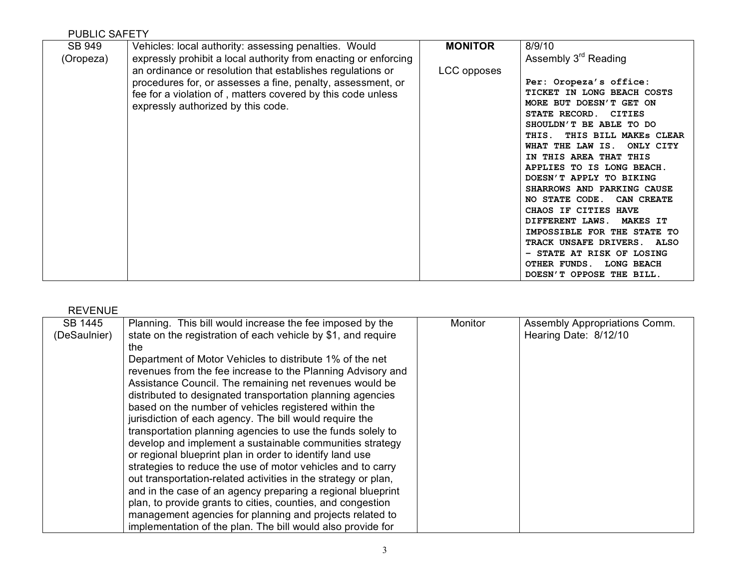| <b>PUBLIC SAFETY</b> |                                                                 |                |                                                         |
|----------------------|-----------------------------------------------------------------|----------------|---------------------------------------------------------|
| SB 949               | Vehicles: local authority: assessing penalties. Would           | <b>MONITOR</b> | 8/9/10                                                  |
| (Oropeza)            | expressly prohibit a local authority from enacting or enforcing |                | Assembly 3 <sup>rd</sup> Reading                        |
|                      | an ordinance or resolution that establishes regulations or      | LCC opposes    |                                                         |
|                      | procedures for, or assesses a fine, penalty, assessment, or     |                | Per: Oropeza's office:                                  |
|                      | fee for a violation of, matters covered by this code unless     |                | TICKET IN LONG BEACH COSTS                              |
|                      | expressly authorized by this code.                              |                | MORE BUT DOESN'T GET ON                                 |
|                      |                                                                 |                | STATE RECORD. CITIES<br>SHOULDN'T BE ABLE TO DO         |
|                      |                                                                 |                | THIS BILL MAKES CLEAR<br>THIS.                          |
|                      |                                                                 |                | WHAT THE LAW IS.<br>ONLY CITY                           |
|                      |                                                                 |                | IN THIS AREA THAT THIS                                  |
|                      |                                                                 |                | APPLIES TO IS LONG BEACH.                               |
|                      |                                                                 |                | DOESN'T APPLY TO BIKING                                 |
|                      |                                                                 |                | SHARROWS AND PARKING CAUSE                              |
|                      |                                                                 |                | NO STATE CODE.<br>CAN CREATE                            |
|                      |                                                                 |                | CHAOS IF CITIES HAVE                                    |
|                      |                                                                 |                | DIFFERENT LAWS.<br><b>MAKES IT</b>                      |
|                      |                                                                 |                | IMPOSSIBLE FOR THE STATE TO                             |
|                      |                                                                 |                | TRACK UNSAFE DRIVERS. ALSO<br>- STATE AT RISK OF LOSING |
|                      |                                                                 |                | OTHER FUNDS.<br><b>LONG BEACH</b>                       |
|                      |                                                                 |                | DOESN'T OPPOSE THE BILL.                                |

| 1 \ L V L I \ U L |                                                                |         |                               |
|-------------------|----------------------------------------------------------------|---------|-------------------------------|
| SB 1445           | Planning. This bill would increase the fee imposed by the      | Monitor | Assembly Appropriations Comm. |
| (DeSaulnier)      | state on the registration of each vehicle by \$1, and require  |         | Hearing Date: 8/12/10         |
|                   | the                                                            |         |                               |
|                   | Department of Motor Vehicles to distribute 1% of the net       |         |                               |
|                   | revenues from the fee increase to the Planning Advisory and    |         |                               |
|                   | Assistance Council. The remaining net revenues would be        |         |                               |
|                   | distributed to designated transportation planning agencies     |         |                               |
|                   | based on the number of vehicles registered within the          |         |                               |
|                   | jurisdiction of each agency. The bill would require the        |         |                               |
|                   | transportation planning agencies to use the funds solely to    |         |                               |
|                   | develop and implement a sustainable communities strategy       |         |                               |
|                   | or regional blueprint plan in order to identify land use       |         |                               |
|                   | strategies to reduce the use of motor vehicles and to carry    |         |                               |
|                   | out transportation-related activities in the strategy or plan, |         |                               |
|                   | and in the case of an agency preparing a regional blueprint    |         |                               |
|                   | plan, to provide grants to cities, counties, and congestion    |         |                               |
|                   | management agencies for planning and projects related to       |         |                               |
|                   | implementation of the plan. The bill would also provide for    |         |                               |